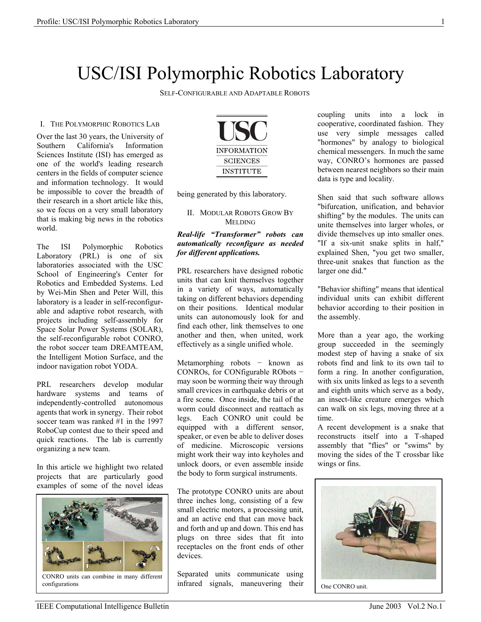# USC/ISI Polymorphic Robotics Laboratory

SELF-CONFIGURABLE AND ADAPTABLE ROBOTS

#### I. THE POLYMORPHIC ROBOTICS LAB

Over the last 30 years, the University of Southern California's Information Sciences Institute (ISI) has emerged as one of the world's leading research centers in the fields of computer science and information technology. It would be impossible to cover the breadth of their research in a short article like this, so we focus on a very small laboratory that is making big news in the robotics world.

The ISI Polymorphic Robotics Laboratory (PRL) is one of six laboratories associated with the USC School of Engineering's Center for Robotics and Embedded Systems. Led by Wei-Min Shen and Peter Will, this laboratory is a leader in self-reconfigurable and adaptive robot research, with projects including self-assembly for Space Solar Power Systems (SOLAR), the self-reconfigurable robot CONRO, the robot soccer team DREAMTEAM, the Intelligent Motion Surface, and the indoor navigation robot YODA.

PRL researchers develop modular hardware systems and teams of independently-controlled autonomous agents that work in synergy. Their robot soccer team was ranked #1 in the 1997 RoboCup contest due to their speed and quick reactions. The lab is currently organizing a new team.

In this article we highlight two related projects that are particularly good examples of some of the novel ideas



configurations



being generated by this laboratory.

#### II. MODULAR ROBOTS GROW BY MELDING

#### *Real-life "Transformer" robots can automatically reconfigure as needed for different applications.*

PRL researchers have designed robotic units that can knit themselves together in a variety of ways, automatically taking on different behaviors depending on their positions. Identical modular units can autonomously look for and find each other, link themselves to one another and then, when united, work effectively as a single unified whole.

Metamorphing robots − known as CONROs, for CONfigurable RObots − may soon be worming their way through small crevices in earthquake debris or at a fire scene. Once inside, the tail of the worm could disconnect and reattach as legs. Each CONRO unit could be equipped with a different sensor, speaker, or even be able to deliver doses of medicine. Microscopic versions might work their way into keyholes and unlock doors, or even assemble inside the body to form surgical instruments.

The prototype CONRO units are about three inches long, consisting of a few small electric motors, a processing unit, and an active end that can move back and forth and up and down. This end has plugs on three sides that fit into receptacles on the front ends of other devices.

Separated units communicate using infrared signals, maneuvering their coupling units into a lock in cooperative, coordinated fashion. They use very simple messages called "hormones" by analogy to biological chemical messengers. In much the same way, CONRO's hormones are passed between nearest neighbors so their main data is type and locality.

Shen said that such software allows "bifurcation, unification, and behavior shifting" by the modules. The units can unite themselves into larger wholes, or divide themselves up into smaller ones. "If a six-unit snake splits in half," explained Shen, "you get two smaller, three-unit snakes that function as the larger one did."

"Behavior shifting" means that identical individual units can exhibit different behavior according to their position in the assembly.

More than a year ago, the working group succeeded in the seemingly modest step of having a snake of six robots find and link to its own tail to form a ring. In another configuration, with six units linked as legs to a seventh and eighth units which serve as a body, an insect-like creature emerges which can walk on six legs, moving three at a time.

A recent development is a snake that reconstructs itself into a T-shaped assembly that "flies" or "swims" by moving the sides of the T crossbar like wings or fins.